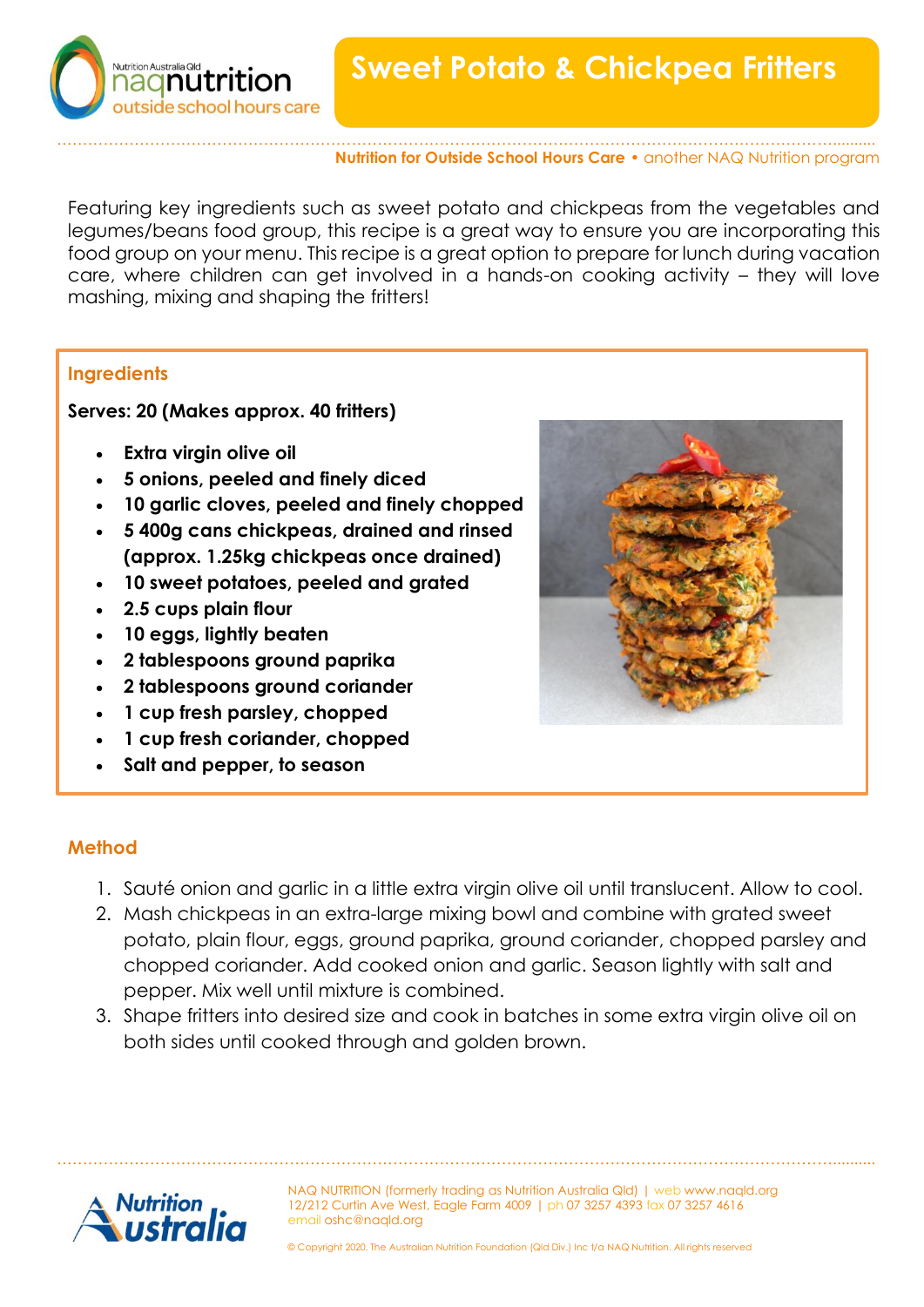



## …………………………………………………………………………………………………………………………………….......... **Nutrition for Outside School Hours Care** • another NAQ Nutrition program

Featuring key ingredients such as sweet potato and chickpeas from the vegetables and legumes/beans food group, this recipe is a great way to ensure you are incorporating this food group on your menu. This recipe is a great option to prepare for lunch during vacation care, where children can get involved in a hands-on cooking activity – they will love mashing, mixing and shaping the fritters!

## **Ingredients**

**Serves: 20 (Makes approx. 40 fritters)** 

- **Extra virgin olive oil**
- **5 onions, peeled and finely diced**
- **10 garlic cloves, peeled and finely chopped**
- **5 400g cans chickpeas, drained and rinsed (approx. 1.25kg chickpeas once drained)**
- **10 sweet potatoes, peeled and grated**
- **2.5 cups plain flour**
- **10 eggs, lightly beaten**
- **2 tablespoons ground paprika**
- **2 tablespoons ground coriander**
- **1 cup fresh parsley, chopped**
- **1 cup fresh coriander, chopped**
- **Salt and pepper, to season**



## **Method**

- 1. Sauté onion and garlic in a little extra virgin olive oil until translucent. Allow to cool.
- 2. Mash chickpeas in an extra-large mixing bowl and combine with grated sweet potato, plain flour, eggs, ground paprika, ground coriander, chopped parsley and chopped coriander. Add cooked onion and garlic. Season lightly with salt and pepper. Mix well until mixture is combined.
- 3. Shape fritters into desired size and cook in batches in some extra virgin olive oil on both sides until cooked through and golden brown.

……………………………………………………………………………………………………………………………………..........



NAQ NUTRITION (formerly trading as Nutrition Australia Qld) | web www.naqld.org 12/212 Curtin Ave West, Eagle Farm 4009 | ph 07 3257 4393 fax 07 3257 4616 email oshc@naqld.org